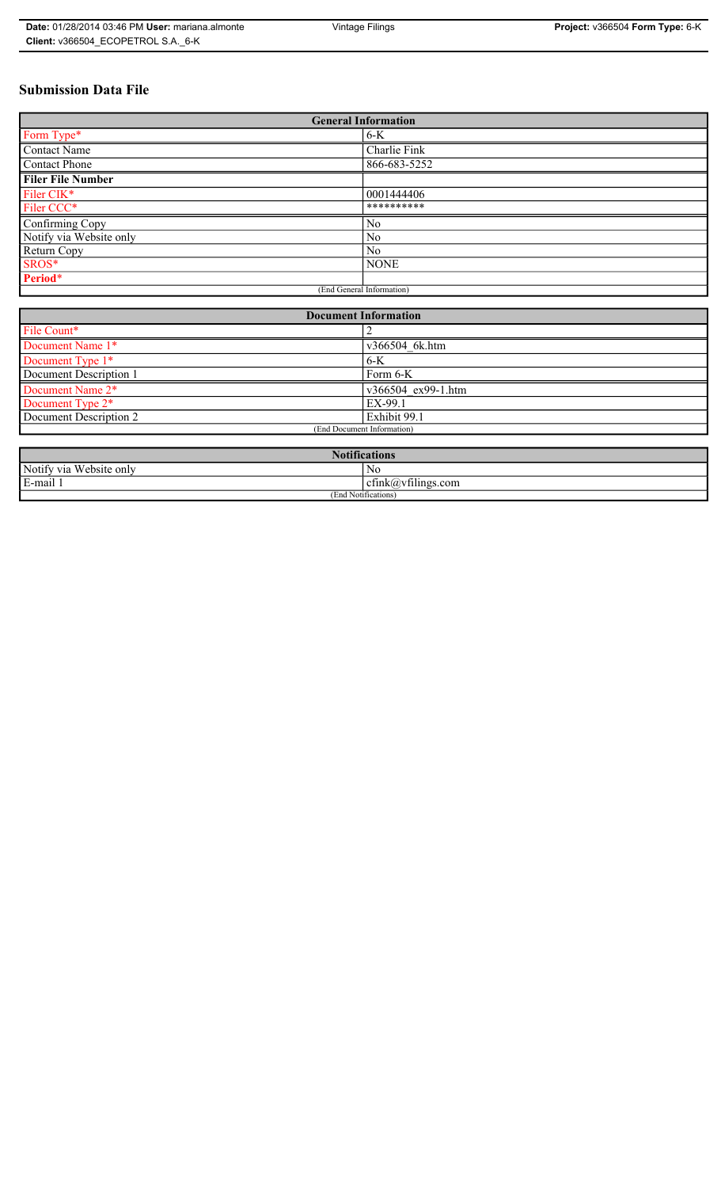# **Submission Data File**

| <b>General Information</b> |                |
|----------------------------|----------------|
| Form Type*                 | $6-K$          |
| Contact Name               | Charlie Fink   |
| <b>Contact Phone</b>       | 866-683-5252   |
| <b>Filer File Number</b>   |                |
| Filer CIK*                 | 0001444406     |
| Filer CCC*                 | **********     |
| Confirming Copy            | N <sub>0</sub> |
| Notify via Website only    | N <sub>0</sub> |
| Return Copy                | No.            |
| SROS*                      | <b>NONE</b>    |
| Period*                    |                |
| (End General Information)  |                |

| <b>Document Information</b>  |                    |
|------------------------------|--------------------|
| File Count*                  |                    |
| Document Name 1*             | v366504 6k.htm     |
| Document Type 1*             | $6-K$              |
| Document Description 1       | Form 6-K           |
| Document Name 2 <sup>*</sup> | v366504 ex99-1.htm |
| Document Type 2 <sup>*</sup> | EX-99.1            |
| Document Description 2       | Exhibit 99.1       |
| (End Document Information)   |                    |
|                              |                    |

| <b>Notifications</b>                         |                                   |  |
|----------------------------------------------|-----------------------------------|--|
| Notify via<br><b>TT7</b> 1<br>. Website only | N0                                |  |
| E-mail 1                                     | $\sim$ 1.<br>cfink(a)vfilings.com |  |
| $\cdots$<br>(End Notifications)              |                                   |  |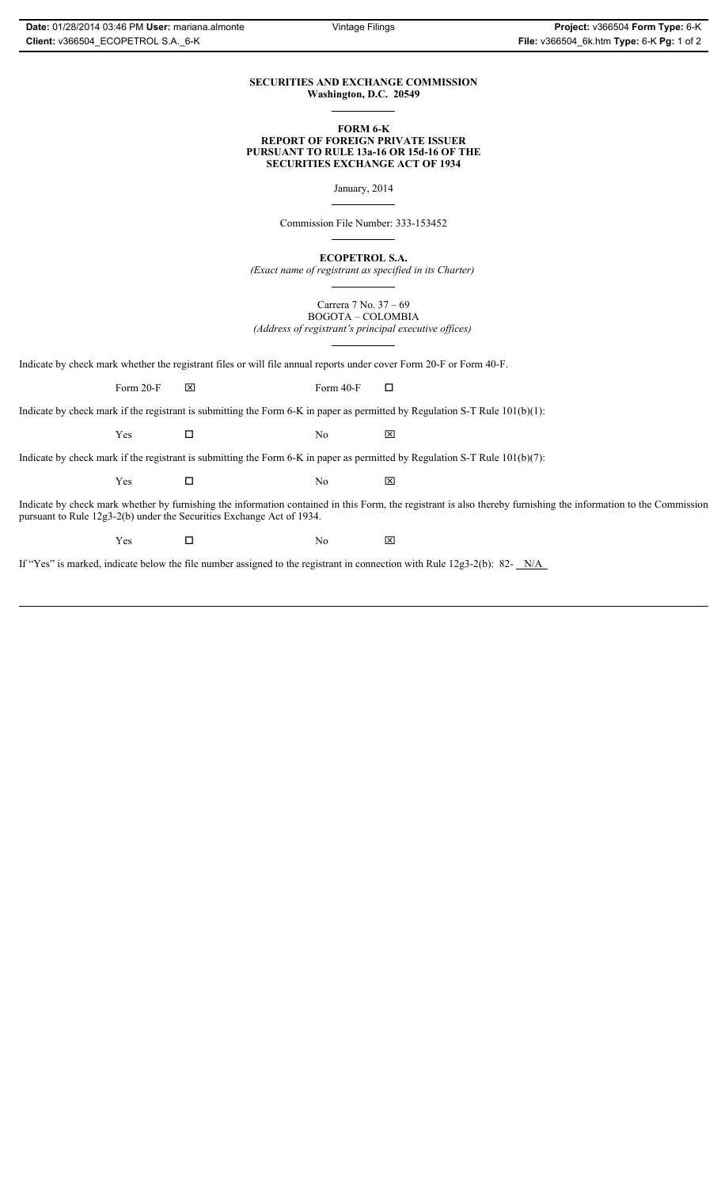#### **SECURITIES AND EXCHANGE COMMISSION Washington, D.C. 20549**

#### **FORM 6-K REPORT OF FOREIGN PRIVATE ISSUER PURSUANT TO RULE 13a-16 OR 15d-16 OF THE SECURITIES EXCHANGE ACT OF 1934**

January, 2014

Commission File Number: 333-153452

**ECOPETROL S.A.**

*(Exact name of registrant as specified in its Charter)*

Carrera 7 No. 37 – 69 BOGOTA – COLOMBIA *(Address of registrant's principal executive offices)*

Indicate by check mark whether the registrant files or will file annual reports under cover Form 20-F or Form 40-F.

Form 20-F  $\boxtimes$  Form 40-F  $\Box$ 

Indicate by check mark if the registrant is submitting the Form 6-K in paper as permitted by Regulation S-T Rule 101(b)(1):

 $Yes$   $\Box$  No  $X$ 

Indicate by check mark if the registrant is submitting the Form 6-K in paper as permitted by Regulation S-T Rule 101(b)(7):

 $Yes$   $\Box$  No  $X$ 

Indicate by check mark whether by furnishing the information contained in this Form, the registrant is also thereby furnishing the information to the Commission pursuant to Rule 12g3-2(b) under the Securities Exchange Act of 1934.

 $Yes$   $\Box$  No  $X$ 

If "Yes" is marked, indicate below the file number assigned to the registrant in connection with Rule 12g3-2(b): 82- N/A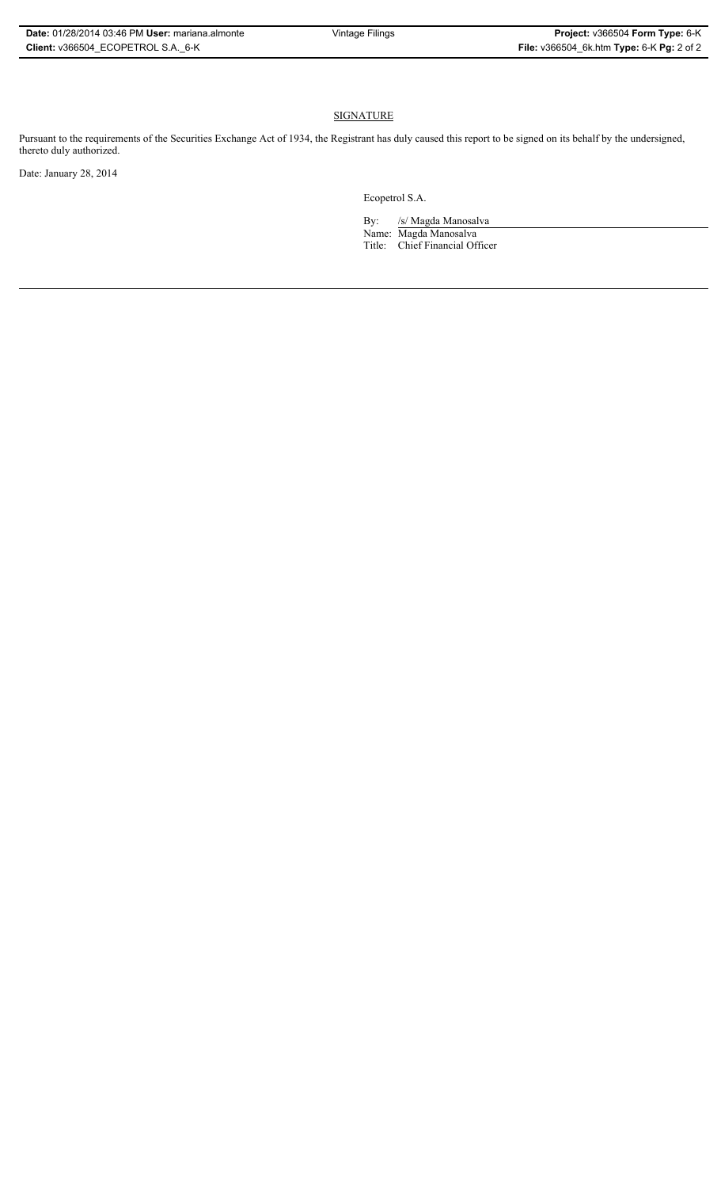## **SIGNATURE**

Pursuant to the requirements of the Securities Exchange Act of 1934, the Registrant has duly caused this report to be signed on its behalf by the undersigned, thereto duly authorized.

Date: January 28, 2014

Ecopetrol S.A.

By: /s/ Magda Manosalva Name: Magda Manosalva Title: Chief Financial Officer